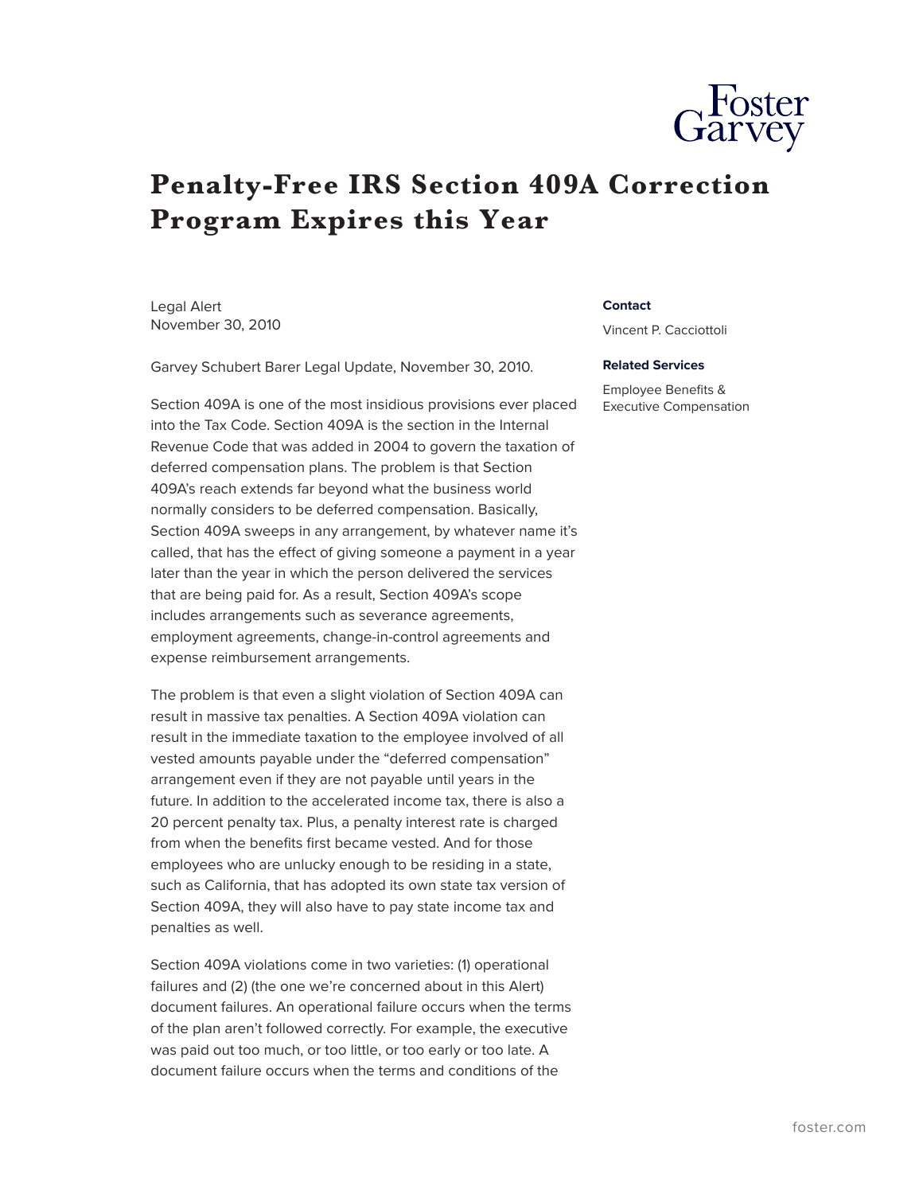

## **Penalty-Free IRS Section 409A Correction Program Expires this Year**

Legal Alert November 30, 2010

Garvey Schubert Barer Legal Update, November 30, 2010.

Section 409A is one of the most insidious provisions ever placed into the Tax Code. Section 409A is the section in the Internal Revenue Code that was added in 2004 to govern the taxation of deferred compensation plans. The problem is that Section 409A's reach extends far beyond what the business world normally considers to be deferred compensation. Basically, Section 409A sweeps in any arrangement, by whatever name it's called, that has the effect of giving someone a payment in a year later than the year in which the person delivered the services that are being paid for. As a result, Section 409A's scope includes arrangements such as severance agreements, employment agreements, change-in-control agreements and expense reimbursement arrangements.

The problem is that even a slight violation of Section 409A can result in massive tax penalties. A Section 409A violation can result in the immediate taxation to the employee involved of all vested amounts payable under the "deferred compensation" arrangement even if they are not payable until years in the future. In addition to the accelerated income tax, there is also a 20 percent penalty tax. Plus, a penalty interest rate is charged from when the benefits first became vested. And for those employees who are unlucky enough to be residing in a state, such as California, that has adopted its own state tax version of Section 409A, they will also have to pay state income tax and penalties as well.

Section 409A violations come in two varieties: (1) operational failures and (2) (the one we're concerned about in this Alert) document failures. An operational failure occurs when the terms of the plan aren't followed correctly. For example, the executive was paid out too much, or too little, or too early or too late. A document failure occurs when the terms and conditions of the

## **Contact**

Vincent P. Cacciottoli

## **Related Services**

Employee Benefits & Executive Compensation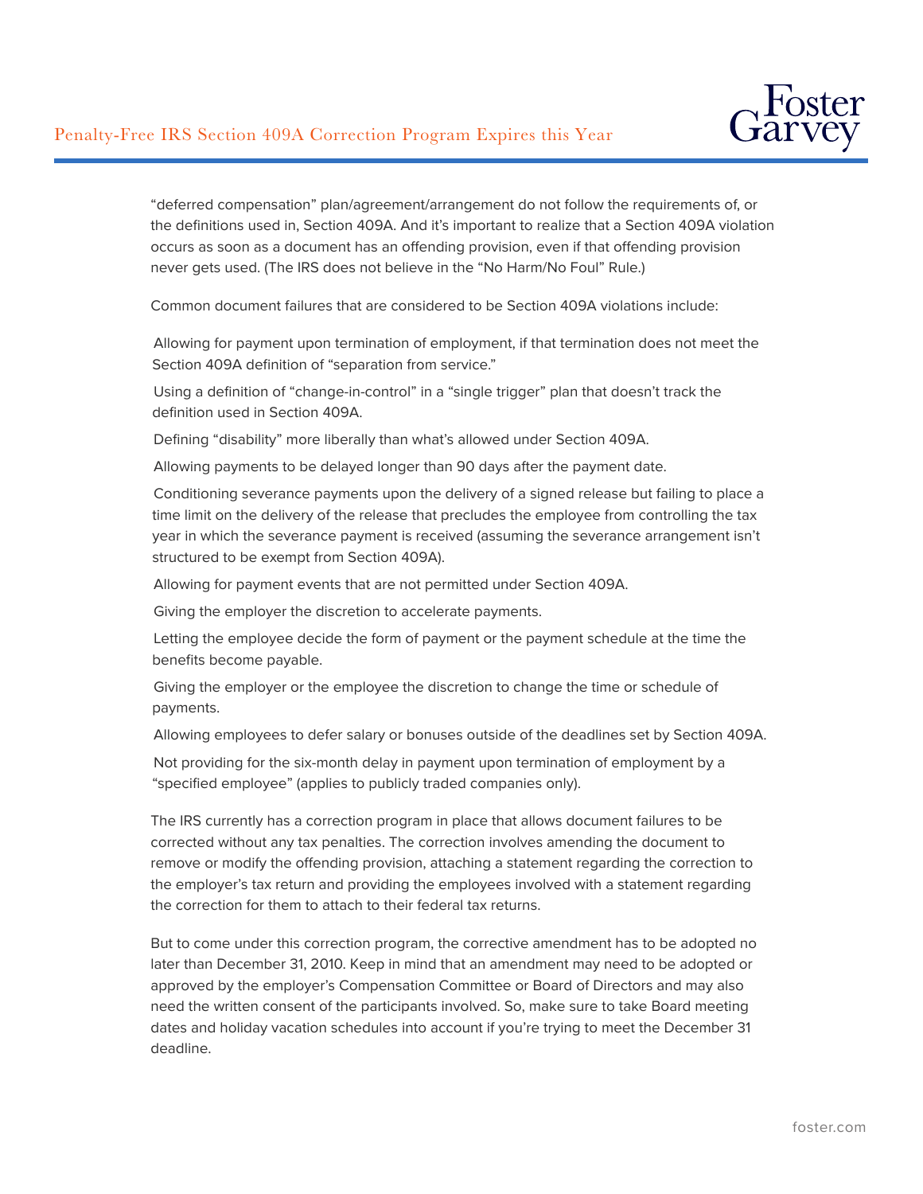

"deferred compensation" plan/agreement/arrangement do not follow the requirements of, or the definitions used in, Section 409A. And it's important to realize that a Section 409A violation occurs as soon as a document has an offending provision, even if that offending provision never gets used. (The IRS does not believe in the "No Harm/No Foul" Rule.)

Common document failures that are considered to be Section 409A violations include:

Allowing for payment upon termination of employment, if that termination does not meet the Section 409A definition of "separation from service."

Using a definition of "change-in-control" in a "single trigger" plan that doesn't track the definition used in Section 409A.

Defining "disability" more liberally than what's allowed under Section 409A.

Allowing payments to be delayed longer than 90 days after the payment date.

Conditioning severance payments upon the delivery of a signed release but failing to place a time limit on the delivery of the release that precludes the employee from controlling the tax year in which the severance payment is received (assuming the severance arrangement isn't structured to be exempt from Section 409A).

Allowing for payment events that are not permitted under Section 409A.

Giving the employer the discretion to accelerate payments.

Letting the employee decide the form of payment or the payment schedule at the time the benefits become payable.

Giving the employer or the employee the discretion to change the time or schedule of payments.

Allowing employees to defer salary or bonuses outside of the deadlines set by Section 409A.

Not providing for the six-month delay in payment upon termination of employment by a "specified employee" (applies to publicly traded companies only).

The IRS currently has a correction program in place that allows document failures to be corrected without any tax penalties. The correction involves amending the document to remove or modify the offending provision, attaching a statement regarding the correction to the employer's tax return and providing the employees involved with a statement regarding the correction for them to attach to their federal tax returns.

But to come under this correction program, the corrective amendment has to be adopted no later than December 31, 2010. Keep in mind that an amendment may need to be adopted or approved by the employer's Compensation Committee or Board of Directors and may also need the written consent of the participants involved. So, make sure to take Board meeting dates and holiday vacation schedules into account if you're trying to meet the December 31 deadline.